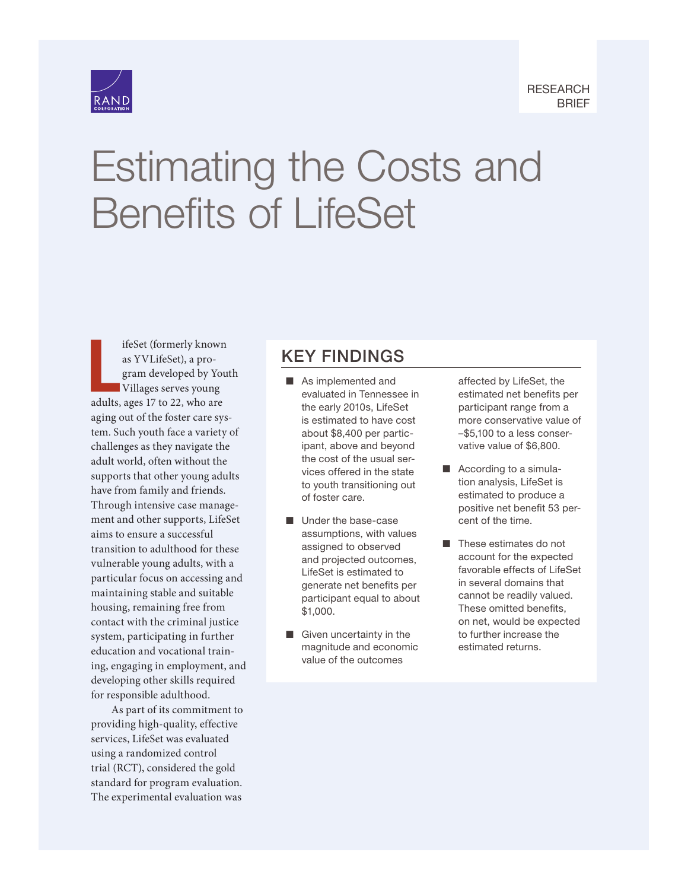

# [Estimating the Costs and](https://www.rand.org/pubs/research_briefs/RB10105.html) Benefits of LifeSet

L ifeSet (formerly known as YVLifeSet), a program developed by Youth Villages serves young adults, ages 17 to 22, who are aging out of the foster care system. Such youth face a variety of challenges as they navigate the adult world, often without the supports that other young adults have from family and friends. Through intensive case management and other supports, LifeSet aims to ensure a successful transition to adulthood for these vulnerable young adults, with a particular focus on accessing and maintaining stable and suitable housing, remaining free from contact with the criminal justice system, participating in further education and vocational training, engaging in employment, and developing other skills required for responsible adulthood.

As part of its commitment to providing high-quality, effective services, LifeSet was evaluated using a randomized control trial (RCT), considered the gold standard for program evaluation. The experimental evaluation was

## KEY FINDINGS

- $\blacksquare$  As implemented and evaluated in Tennessee in the early 2010s, LifeSet is estimated to have cost about \$8,400 per participant, above and beyond the cost of the usual services offered in the state to youth transitioning out of foster care.
- $\blacksquare$  Under the base-case assumptions, with values assigned to observed and projected outcomes, LifeSet is estimated to generate net benefits per participant equal to about \$1,000.
- $\blacksquare$  Given uncertainty in the magnitude and economic value of the outcomes

affected by LifeSet, the estimated net benefits per participant range from a more conservative value of –\$5,100 to a less conservative value of \$6,800.

- $\blacksquare$  According to a simulation analysis, LifeSet is estimated to produce a positive net benefit 53 percent of the time.
- $\blacksquare$  These estimates do not account for the expected favorable effects of LifeSet in several domains that cannot be readily valued. These omitted benefits, on net, would be expected to further increase the estimated returns.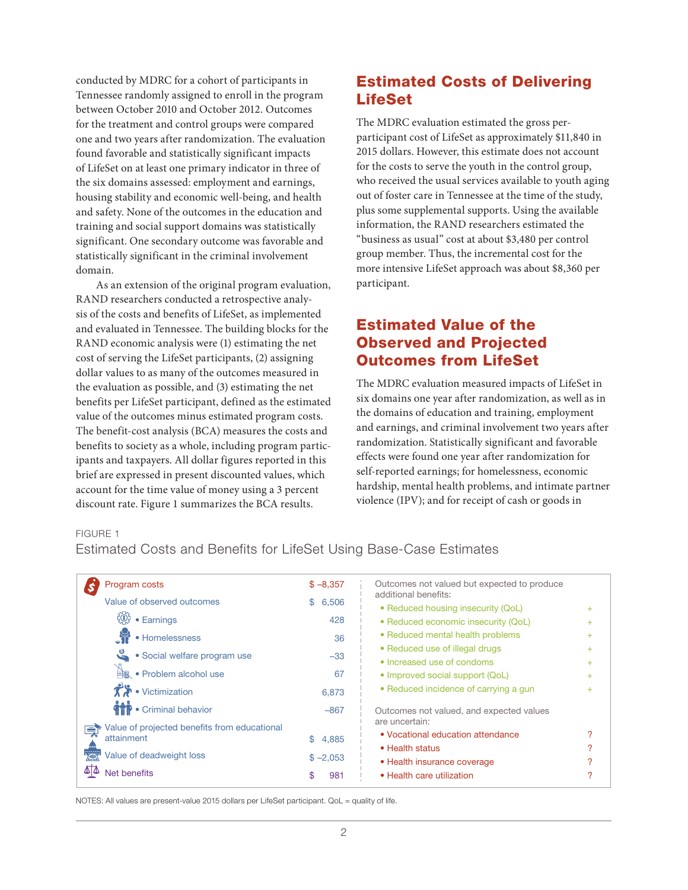conducted by MDRC for a cohort of participants in Tennessee randomly assigned to enroll in the program between October 2010 and October 2012. Outcomes for the treatment and control groups were compared one and two years after randomization. The evaluation found favorable and statistically significant impacts of LifeSet on at least one primary indicator in three of the six domains assessed: employment and earnings, housing stability and economic well-being, and health and safety. None of the outcomes in the education and training and social support domains was statistically significant. One secondary outcome was favorable and statistically significant in the criminal involvement domain.

As an extension of the original program evaluation, RAND researchers conducted a retrospective analysis of the costs and benefits of LifeSet, as implemented and evaluated in Tennessee. The building blocks for the RAND economic analysis were (1) estimating the net cost of serving the LifeSet participants, (2) assigning dollar values to as many of the outcomes measured in the evaluation as possible, and (3) estimating the net benefits per LifeSet participant, defined as the estimated value of the outcomes minus estimated program costs. The benefit-cost analysis (BCA) measures the costs and benefits to society as a whole, including program participants and taxpayers. All dollar figures reported in this brief are expressed in present discounted values, which account for the time value of money using a 3 percent discount rate. Figure 1 summarizes the BCA results.

## Estimated Costs of Delivering LifeSet

The MDRC evaluation estimated the gross perparticipant cost of LifeSet as approximately \$11,840 in 2015 dollars. However, this estimate does not account for the costs to serve the youth in the control group, who received the usual services available to youth aging out of foster care in Tennessee at the time of the study, plus some supplemental supports. Using the available information, the RAND researchers estimated the "business as usual" cost at about \$3,480 per control group member. Thus, the incremental cost for the more intensive LifeSet approach was about \$8,360 per participant.

## Estimated Value of the Observed and Projected Outcomes from LifeSet

The MDRC evaluation measured impacts of LifeSet in six domains one year after randomization, as well as in the domains of education and training, employment and earnings, and criminal involvement two years after randomization. Statistically significant and favorable effects were found one year after randomization for self-reported earnings; for homelessness, economic hardship, mental health problems, and intimate partner violence (IPV); and for receipt of cash or goods in

#### FIGURE 1

Estimated Costs and Benefits for LifeSet Using Base-Case Estimates

| Program costs                                                       | $$ -8,357$  | Outcomes not valued but expected to produce<br>additional benefits: |       |
|---------------------------------------------------------------------|-------------|---------------------------------------------------------------------|-------|
| Value of observed outcomes                                          | 6,506<br>S. | • Reduced housing insecurity (QoL)                                  |       |
| $\left\{ \begin{matrix} 0 \\ 0 \end{matrix} \right\}$<br>• Earnings | 428         | • Reduced economic insecurity (QoL)                                 | $\pm$ |
| • Homelessness                                                      | 36          | • Reduced mental health problems                                    |       |
| မိ<br>• Social welfare program use                                  | $-33$       | • Reduced use of illegal drugs                                      |       |
|                                                                     |             | • Increased use of condoms                                          | $\pm$ |
| · Problem alcohol use                                               | 67          | • Improved social support (QoL)                                     |       |
| $\mathcal{F}$ • Victimization                                       | 6,873       | • Reduced incidence of carrying a gun                               |       |
| <b>THE</b> • Criminal behavior                                      | $-867$      | Outcomes not valued, and expected values<br>are uncertain:          |       |
| Value of projected benefits from educational<br>E.<br>attainment    | 4,885       | • Vocational education attendance                                   |       |
|                                                                     |             | • Health status                                                     |       |
| Value of deadweight loss                                            | $$ -2,053$  | • Health insurance coverage                                         |       |
| Net benefits                                                        | 981         | • Health care utilization                                           |       |
|                                                                     |             |                                                                     |       |

NOTES: All values are present-value 2015 dollars per LifeSet participant. QoL = quality of life.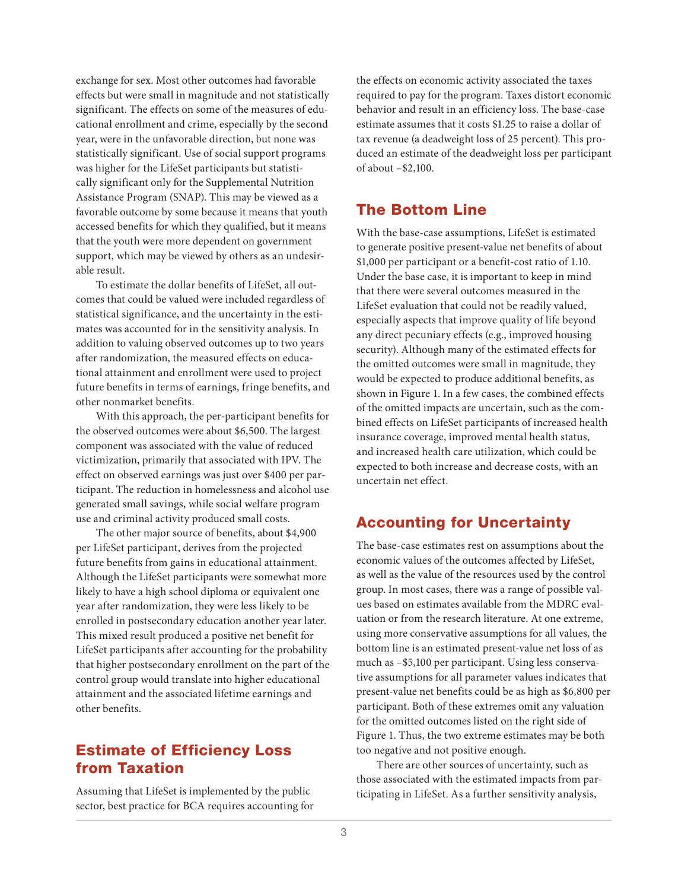exchange for sex. Most other outcomes had favorable effects but were small in magnitude and not statistically significant. The effects on some of the measures of educational enrollment and crime, especially by the second year, were in the unfavorable direction, but none was statistically significant. Use of social support programs was higher for the LifeSet participants but statistically significant only for the Supplemental Nutrition Assistance Program (SNAP). This may be viewed as a favorable outcome by some because it means that youth accessed benefits for which they qualified, but it means that the youth were more dependent on government support, which may be viewed by others as an undesirable result.

To estimate the dollar benefits of LifeSet, all outcomes that could be valued were included regardless of statistical significance, and the uncertainty in the estimates was accounted for in the sensitivity analysis. In addition to valuing observed outcomes up to two years after randomization, the measured effects on educational attainment and enrollment were used to project future benefits in terms of earnings, fringe benefits, and other nonmarket benefits.

With this approach, the per-participant benefits for the observed outcomes were about \$6,500. The largest component was associated with the value of reduced victimization, primarily that associated with IPV. The effect on observed earnings was just over \$400 per participant. The reduction in homelessness and alcohol use generated small savings, while social welfare program use and criminal activity produced small costs.

The other major source of benefits, about \$4,900 per LifeSet participant, derives from the projected future benefits from gains in educational attainment. Although the LifeSet participants were somewhat more likely to have a high school diploma or equivalent one year after randomization, they were less likely to be enrolled in postsecondary education another year later. This mixed result produced a positive net benefit for LifeSet participants after accounting for the probability that higher postsecondary enrollment on the part of the control group would translate into higher educational attainment and the associated lifetime earnings and other benefits.

## Estimate of Efficiency Loss from Taxation

Assuming that LifeSet is implemented by the public sector, best practice for BCA requires accounting for

the effects on economic activity associated the taxes required to pay for the program. Taxes distort economic behavior and result in an efficiency loss. The base-case estimate assumes that it costs \$1.25 to raise a dollar of tax revenue (a deadweight loss of 25 percent). This produced an estimate of the deadweight loss per participant of about –\$2,100.

## The Bottom Line

With the base-case assumptions, LifeSet is estimated to generate positive present-value net benefits of about \$1,000 per participant or a benefit-cost ratio of 1.10. Under the base case, it is important to keep in mind that there were several outcomes measured in the LifeSet evaluation that could not be readily valued, especially aspects that improve quality of life beyond any direct pecuniary effects (e.g., improved housing security). Although many of the estimated effects for the omitted outcomes were small in magnitude, they would be expected to produce additional benefits, as shown in Figure 1. In a few cases, the combined effects of the omitted impacts are uncertain, such as the combined effects on LifeSet participants of increased health insurance coverage, improved mental health status, and increased health care utilization, which could be expected to both increase and decrease costs, with an uncertain net effect.

## Accounting for Uncertainty

The base-case estimates rest on assumptions about the economic values of the outcomes affected by LifeSet, as well as the value of the resources used by the control group. In most cases, there was a range of possible values based on estimates available from the MDRC evaluation or from the research literature. At one extreme, using more conservative assumptions for all values, the bottom line is an estimated present-value net loss of as much as –\$5,100 per participant. Using less conservative assumptions for all parameter values indicates that present-value net benefits could be as high as \$6,800 per participant. Both of these extremes omit any valuation for the omitted outcomes listed on the right side of Figure 1. Thus, the two extreme estimates may be both too negative and not positive enough.

There are other sources of uncertainty, such as those associated with the estimated impacts from participating in LifeSet. As a further sensitivity analysis,